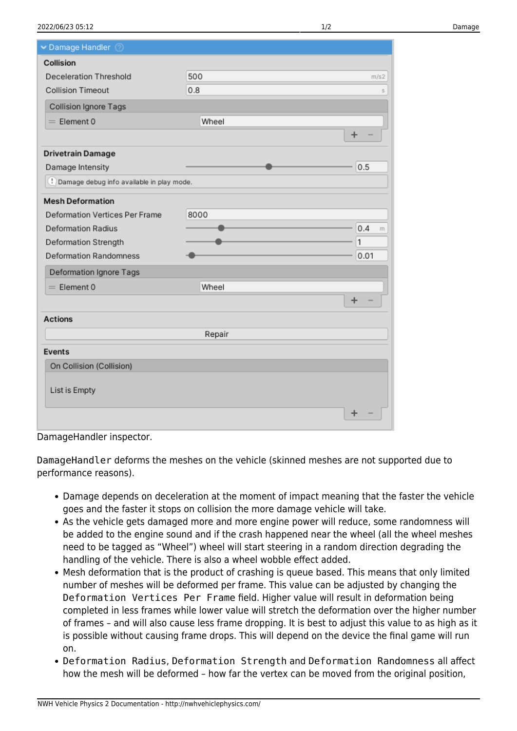| Damage Handler 2                            |        |                     |
|---------------------------------------------|--------|---------------------|
| Collision                                   |        |                     |
| Deceleration Threshold                      | 500    | m/s2                |
| <b>Collision Timeout</b>                    | 0.8    | s                   |
| Collision Ignore Tags                       |        |                     |
| $=$ Flement 0                               | Wheel  |                     |
|                                             |        | $\ddot{}$           |
| <b>Drivetrain Damage</b>                    |        |                     |
| Damage Intensity                            |        | 0.5                 |
| ! Damage debug info available in play mode. |        |                     |
| <b>Mesh Deformation</b>                     |        |                     |
| Deformation Vertices Per Frame              | 8000   |                     |
| <b>Deformation Radius</b>                   |        | 0.4<br>$\mathsf{m}$ |
| Deformation Strength                        |        | 1                   |
| <b>Deformation Randomness</b>               |        | 0.01                |
| Deformation Ignore Tags                     |        |                     |
| $=$ Element 0                               | Wheel  |                     |
|                                             |        | $\ddot{}$           |
| <b>Actions</b>                              |        |                     |
|                                             | Repair |                     |
| Events                                      |        |                     |
| On Collision (Collision)                    |        |                     |
| List is Empty                               |        |                     |
|                                             |        | +                   |

DamageHandler inspector.

DamageHandler deforms the meshes on the vehicle (skinned meshes are not supported due to performance reasons).

- Damage depends on deceleration at the moment of impact meaning that the faster the vehicle goes and the faster it stops on collision the more damage vehicle will take.
- As the vehicle gets damaged more and more engine power will reduce, some randomness will be added to the engine sound and if the crash happened near the wheel (all the wheel meshes need to be tagged as "Wheel") wheel will start steering in a random direction degrading the handling of the vehicle. There is also a wheel wobble effect added.
- Mesh deformation that is the product of crashing is queue based. This means that only limited number of meshes will be deformed per frame. This value can be adjusted by changing the Deformation Vertices Per Frame field. Higher value will result in deformation being completed in less frames while lower value will stretch the deformation over the higher number of frames – and will also cause less frame dropping. It is best to adjust this value to as high as it is possible without causing frame drops. This will depend on the device the final game will run on.
- Deformation Radius, Deformation Strength and Deformation Randomness all affect how the mesh will be deformed – how far the vertex can be moved from the original position,